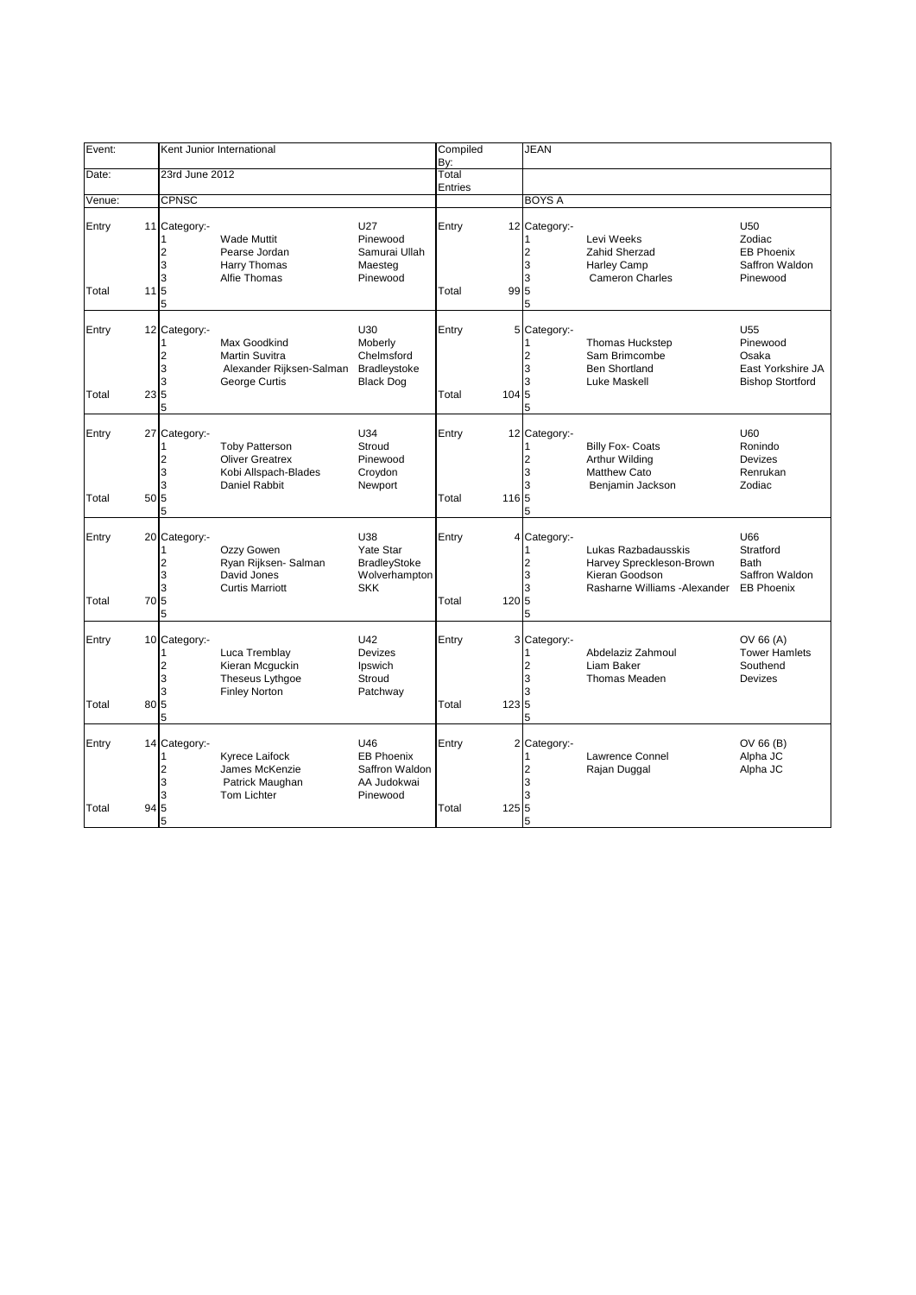| Event:         |                           |                                             | Kent Junior International                                                                |                                                                               | Compiled                |       | <b>JEAN</b>                                        |                                                                                                    |                                                                                      |
|----------------|---------------------------|---------------------------------------------|------------------------------------------------------------------------------------------|-------------------------------------------------------------------------------|-------------------------|-------|----------------------------------------------------|----------------------------------------------------------------------------------------------------|--------------------------------------------------------------------------------------|
| Date:          |                           | 23rd June 2012                              |                                                                                          |                                                                               | By:<br>Total<br>Entries |       |                                                    |                                                                                                    |                                                                                      |
| Venue:         |                           | <b>CPNSC</b>                                |                                                                                          |                                                                               |                         |       | <b>BOYS A</b>                                      |                                                                                                    |                                                                                      |
| Entry<br>Total | $11 \overline{\smash{5}}$ | 11 Category:-<br>2<br>3<br>3<br>5           | <b>Wade Muttit</b><br>Pearse Jordan<br>Harry Thomas<br>Alfie Thomas                      | U27<br>Pinewood<br>Samurai Ullah<br>Maesteg<br>Pinewood                       | Entry<br>Total          | 99 5  | 12 Category:-<br>$\overline{2}$<br>3<br>3<br>5     | Levi Weeks<br>Zahid Sherzad<br>Harley Camp<br><b>Cameron Charles</b>                               | U <sub>50</sub><br>Zodiac<br><b>EB Phoenix</b><br>Saffron Waldon<br>Pinewood         |
| Entry<br>Total | 235                       | 12 Category:-<br>2<br>3<br>3<br>5           | Max Goodkind<br><b>Martin Suvitra</b><br>Alexander Rijksen-Salman<br>George Curtis       | U30<br>Moberly<br>Chelmsford<br>Bradleystoke<br><b>Black Dog</b>              | Entry<br>Total          | 104 5 | 5 Category:-<br>$\overline{2}$<br>3<br>3<br>5      | Thomas Huckstep<br>Sam Brimcombe<br><b>Ben Shortland</b><br>Luke Maskell                           | U <sub>55</sub><br>Pinewood<br>Osaka<br>East Yorkshire JA<br><b>Bishop Stortford</b> |
| Entry<br>Total | 50 5                      | 27 Category:-<br>1<br>2<br>3<br>3<br>5      | <b>Toby Patterson</b><br><b>Oliver Greatrex</b><br>Kobi Allspach-Blades<br>Daniel Rabbit | U34<br>Stroud<br>Pinewood<br>Croydon<br>Newport                               | Entry<br>Total          | 1165  | 12 Category:-<br>1<br>2<br>3<br>3<br>5             | <b>Billy Fox- Coats</b><br>Arthur Wilding<br><b>Matthew Cato</b><br>Benjamin Jackson               | U60<br>Ronindo<br>Devizes<br>Renrukan<br>Zodiac                                      |
| Entry<br>Total | 70                        | 20 Category:-<br>1<br>2<br>3<br>3<br>5<br>5 | Ozzy Gowen<br>Ryan Rijksen- Salman<br>David Jones<br><b>Curtis Marriott</b>              | <b>U38</b><br>Yate Star<br><b>BradleyStoke</b><br>Wolverhampton<br><b>SKK</b> | Entry<br>Total          | 120 5 | 4 Category:-<br>$\overline{2}$<br>3<br>3<br>5      | Lukas Razbadausskis<br>Harvey Spreckleson-Brown<br>Kieran Goodson<br>Rasharne Williams - Alexander | U66<br>Stratford<br><b>Bath</b><br>Saffron Waldon<br><b>EB Phoenix</b>               |
| Entry<br>Total | 80 5                      | 10 Category:-<br>1<br>2<br>3<br>3<br>5      | Luca Tremblay<br>Kieran Mcguckin<br>Theseus Lythgoe<br><b>Finley Norton</b>              | U42<br>Devizes<br>Ipswich<br>Stroud<br>Patchway                               | Entry<br>Total          | 123 5 | 3 Category:-<br>$\overline{2}$<br>3<br>3<br>5      | Abdelaziz Zahmoul<br>Liam Baker<br><b>Thomas Meaden</b>                                            | OV 66 (A)<br><b>Tower Hamlets</b><br>Southend<br><b>Devizes</b>                      |
| Entry<br>Total | 94                        | 14 Category:-<br>1<br>2<br>3<br>3<br>5<br>5 | Kyrece Laifock<br>James McKenzie<br>Patrick Maughan<br><b>Tom Lichter</b>                | U46<br><b>EB Phoenix</b><br>Saffron Waldon<br>AA Judokwai<br>Pinewood         | Entry<br>Total          | 125   | 2 Category:-<br>$\overline{2}$<br>3<br>3<br>5<br>5 | <b>Lawrence Connel</b><br>Rajan Duggal                                                             | OV 66 (B)<br>Alpha JC<br>Alpha JC                                                    |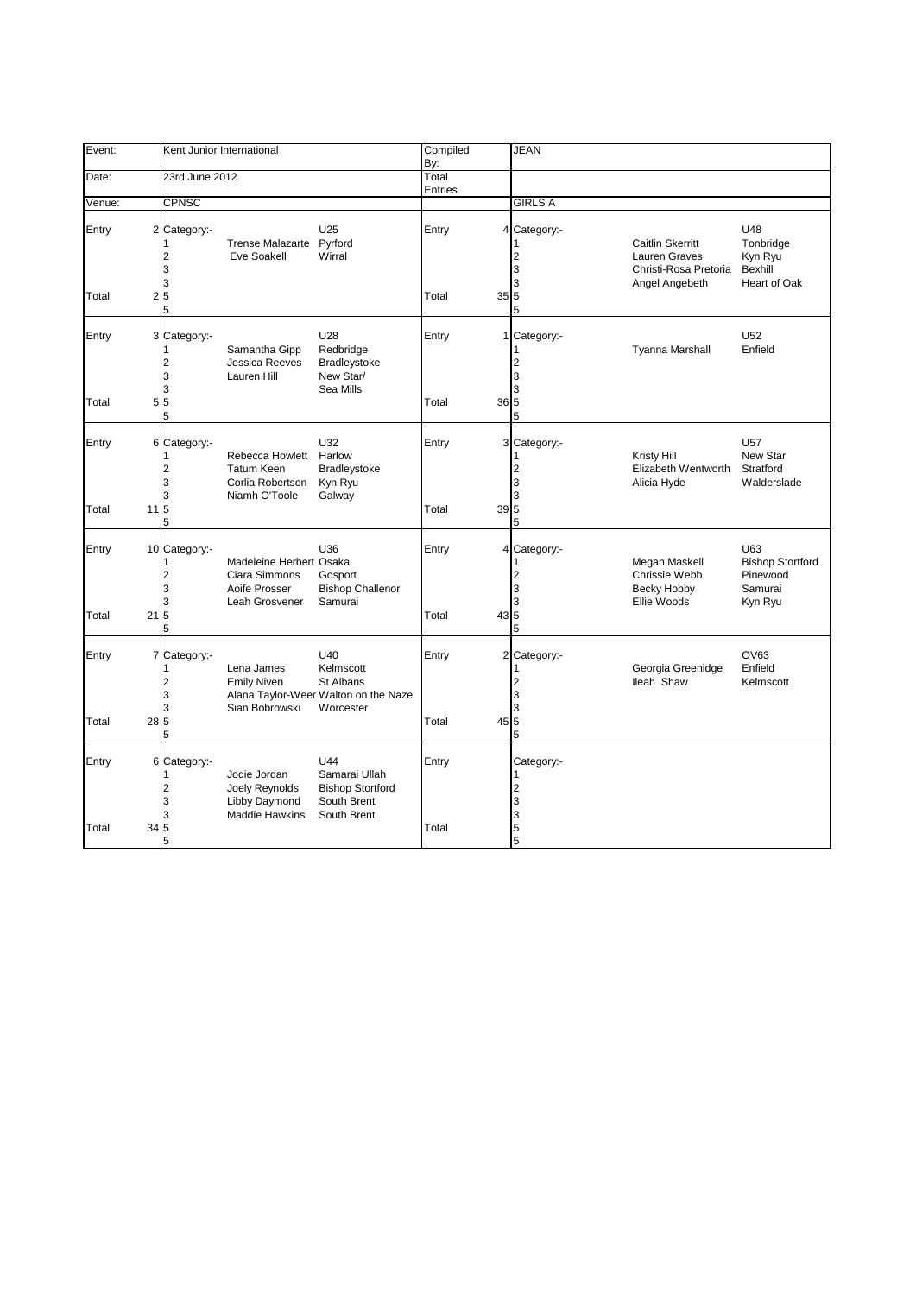| Event:         |                          | Kent Junior International                      |                                                                             |                                                                                    | Compiled<br>By:         |                 | <b>JEAN</b>                                   |                                                                                     |                                                                  |
|----------------|--------------------------|------------------------------------------------|-----------------------------------------------------------------------------|------------------------------------------------------------------------------------|-------------------------|-----------------|-----------------------------------------------|-------------------------------------------------------------------------------------|------------------------------------------------------------------|
| Date:          |                          | 23rd June 2012                                 |                                                                             |                                                                                    | Total<br><b>Entries</b> |                 |                                               |                                                                                     |                                                                  |
| Venue:         |                          | <b>CPNSC</b>                                   |                                                                             |                                                                                    |                         |                 | <b>GIRLS A</b>                                |                                                                                     |                                                                  |
| Entry<br>Total |                          | 2 Category:-<br>2<br>3<br>3<br>25              | Trense Malazarte Pyrford<br>Eve Soakell                                     | U25<br>Wirral                                                                      | Entry<br>Total          | 35 5            | 4 Category:-<br>$\overline{2}$<br>3<br>3      | <b>Caitlin Skerritt</b><br>Lauren Graves<br>Christi-Rosa Pretoria<br>Angel Angebeth | U48<br>Tonbridge<br>Kyn Ryu<br>Bexhill<br>Heart of Oak           |
|                |                          | 5                                              |                                                                             |                                                                                    |                         |                 | 5                                             |                                                                                     |                                                                  |
| Entry<br>Total |                          | 3 Category:-<br>$\overline{2}$<br>3<br>3<br>55 | Samantha Gipp<br>Jessica Reeves<br>Lauren Hill                              | U28<br>Redbridge<br><b>Bradleystoke</b><br>New Star/<br>Sea Mills                  | Entry<br>Total          | 36 5            | 1 Category:-<br>2<br>3<br>3                   | <b>Tyanna Marshall</b>                                                              | U <sub>52</sub><br>Enfield                                       |
|                |                          | 5                                              |                                                                             |                                                                                    |                         |                 | 5                                             |                                                                                     |                                                                  |
| Entry<br>Total | $11\overline{\smash{5}}$ | 6 Category:-<br>2<br>3<br>3<br>5               | Rebecca Howlett<br><b>Tatum Keen</b><br>Corlia Robertson<br>Niamh O'Toole   | U32<br>Harlow<br>Bradleystoke<br>Kyn Ryu<br>Galway                                 | Entry<br>Total          | 39 5            | 3 Category:-<br>$\overline{2}$<br>3<br>3<br>5 | Kristy Hill<br>Elizabeth Wentworth<br>Alicia Hyde                                   | U <sub>57</sub><br>New Star<br>Stratford<br>Walderslade          |
|                |                          |                                                |                                                                             |                                                                                    |                         |                 |                                               |                                                                                     |                                                                  |
| Entry<br>Total | 21                       | 10 Category:-<br>1<br>2<br>3<br>3<br>5<br>5    | Madeleine Herbert Osaka<br>Ciara Simmons<br>Aoife Prosser<br>Leah Grosvener | U36<br>Gosport<br><b>Bishop Challenor</b><br>Samurai                               | Entry<br>Total          | 43 <sub>l</sub> | 4 Category:-<br>2<br>3<br>3<br>5<br>5         | Megan Maskell<br>Chrissie Webb<br>Becky Hobby<br>Ellie Woods                        | U63<br><b>Bishop Stortford</b><br>Pinewood<br>Samurai<br>Kyn Ryu |
| Entry<br>Total | 28 5                     | 7 Category:-<br>2<br>3<br>3<br>5               | Lena James<br><b>Emily Niven</b><br>Sian Bobrowski                          | U40<br>Kelmscott<br>St Albans<br>Alana Taylor-Weec Walton on the Naze<br>Worcester | Entry<br>Total          | 45 5            | 2 Category:-<br>$\overline{2}$<br>3<br>3<br>5 | Georgia Greenidge<br>lleah Shaw                                                     | OV63<br>Enfield<br>Kelmscott                                     |
|                |                          |                                                |                                                                             |                                                                                    |                         |                 |                                               |                                                                                     |                                                                  |
| Entry<br>Total | 34 5                     | 6 Category:-<br>1<br>2<br>3<br>3<br>5          | Jodie Jordan<br>Joely Reynolds<br>Libby Daymond<br>Maddie Hawkins           | U44<br>Samarai Ullah<br><b>Bishop Stortford</b><br>South Brent<br>South Brent      | Entry<br>Total          |                 | Category:-<br>1<br>2<br>3<br>3<br>5<br>5      |                                                                                     |                                                                  |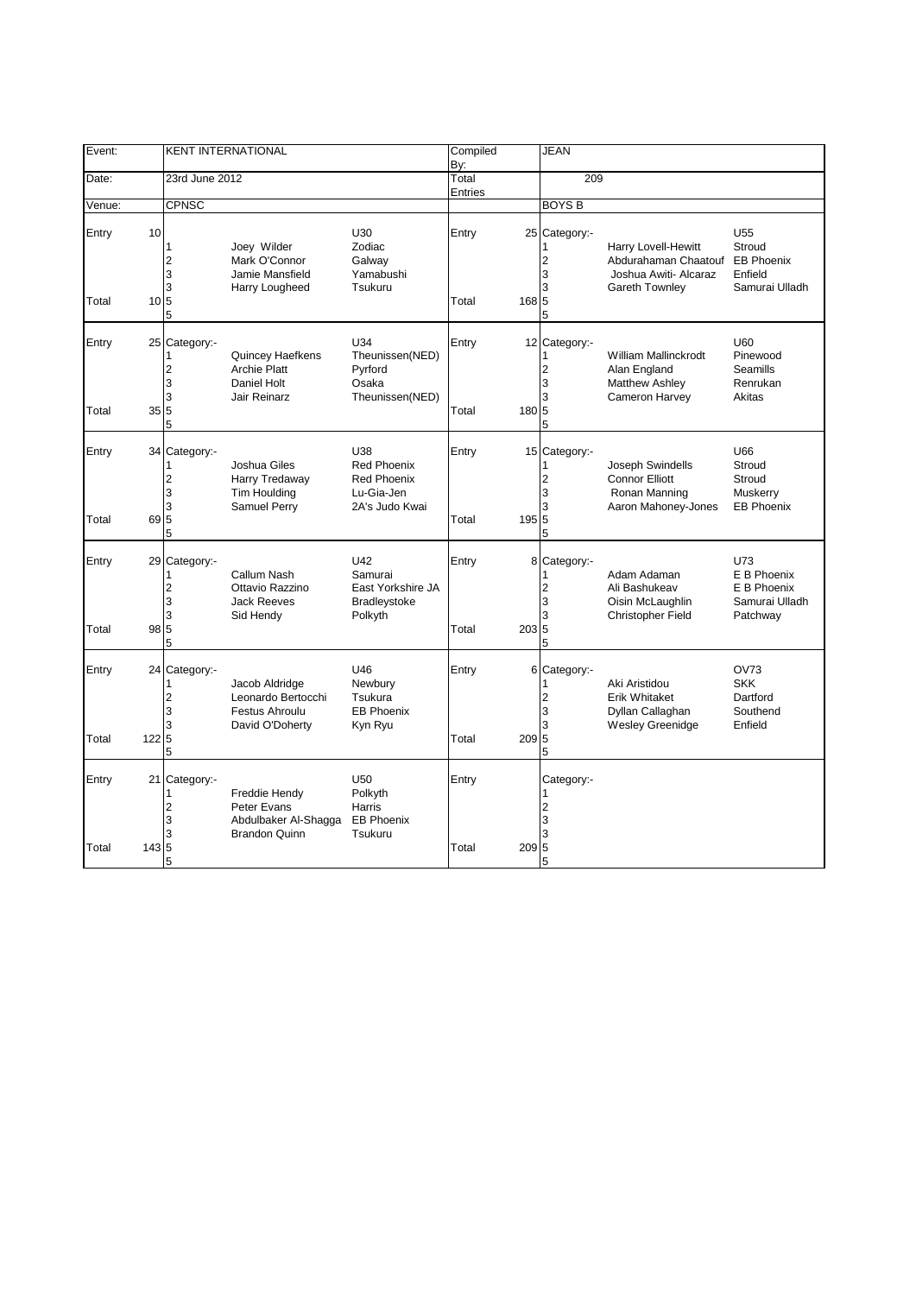| Event:         |                        |                                                                                | <b>KENT INTERNATIONAL</b>                                                        |                                                                                 | Compiled<br>By:         |       | <b>JEAN</b>                                    |                                                                                                      |                                                                             |
|----------------|------------------------|--------------------------------------------------------------------------------|----------------------------------------------------------------------------------|---------------------------------------------------------------------------------|-------------------------|-------|------------------------------------------------|------------------------------------------------------------------------------------------------------|-----------------------------------------------------------------------------|
| Date:          |                        | 23rd June 2012                                                                 |                                                                                  |                                                                                 | Total<br><b>Entries</b> |       | 209                                            |                                                                                                      |                                                                             |
| Venue:         |                        | <b>CPNSC</b>                                                                   |                                                                                  |                                                                                 |                         |       | <b>BOYS B</b>                                  |                                                                                                      |                                                                             |
| Entry<br>Total | 10<br>$10\overline{5}$ | 1<br>$\sqrt{2}$<br>3<br>3<br>5                                                 | Joey Wilder<br>Mark O'Connor<br>Jamie Mansfield<br>Harry Lougheed                | U30<br>Zodiac<br>Galway<br>Yamabushi<br>Tsukuru                                 | Entry<br>Total          | 168 5 | 25 Category:-<br>$\overline{c}$<br>3<br>3<br>5 | <b>Harry Lovell-Hewitt</b><br>Abdurahaman Chaatouf<br>Joshua Awiti- Alcaraz<br><b>Gareth Townley</b> | U <sub>55</sub><br>Stroud<br><b>EB Phoenix</b><br>Enfield<br>Samurai Ulladh |
| Entry<br>Total | 35 5                   | 25 Category:-<br>$\overline{c}$<br>3<br>3<br>5                                 | Quincey Haefkens<br><b>Archie Platt</b><br>Daniel Holt<br>Jair Reinarz           | U34<br>Theunissen(NED)<br>Pyrford<br>Osaka<br>Theunissen(NED)                   | Entry<br>Total          | 180 5 | 12 Category:-<br>$\overline{2}$<br>3<br>3<br>5 | William Mallinckrodt<br>Alan England<br><b>Matthew Ashley</b><br>Cameron Harvey                      | U60<br>Pinewood<br>Seamills<br>Renrukan<br>Akitas                           |
| Entry<br>Total | 69 5                   | 34 Category:-<br>1<br>$\overline{c}$<br>3<br>3<br>5                            | Joshua Giles<br>Harry Tredaway<br><b>Tim Houlding</b><br>Samuel Perry            | U38<br><b>Red Phoenix</b><br><b>Red Phoenix</b><br>Lu-Gia-Jen<br>2A's Judo Kwai | Entry<br>Total          | 195 5 | 15 Category:-<br>$\overline{2}$<br>3<br>3<br>5 | Joseph Swindells<br><b>Connor Elliott</b><br>Ronan Manning<br>Aaron Mahoney-Jones                    | U66<br>Stroud<br>Stroud<br>Muskerry<br><b>EB Phoenix</b>                    |
| Entry<br>Total | 98                     | 29 Category:-<br>1<br>$\overline{\mathbf{c}}$<br>3<br>3<br>$\overline{5}$<br>5 | <b>Callum Nash</b><br>Ottavio Razzino<br><b>Jack Reeves</b><br>Sid Hendy         | U42<br>Samurai<br>East Yorkshire JA<br><b>Bradleystoke</b><br>Polkyth           | Entry<br>Total          | 203 5 | 8 Category:-<br>$\overline{2}$<br>3<br>3<br>5  | Adam Adaman<br>Ali Bashukeav<br>Oisin McLaughlin<br><b>Christopher Field</b>                         | U73<br>E B Phoenix<br>E B Phoenix<br>Samurai Ulladh<br>Patchway             |
| Entry<br>Total | 122                    | 24 Category:-<br>1<br>$\overline{c}$<br>3<br>3<br>$\overline{5}$<br>5          | Jacob Aldridge<br>Leonardo Bertocchi<br><b>Festus Ahroulu</b><br>David O'Doherty | U46<br>Newbury<br>Tsukura<br><b>EB Phoenix</b><br>Kyn Ryu                       | Entry<br>Total          | 2095  | 6 Category:-<br>$\overline{2}$<br>3<br>3<br>5  | Aki Aristidou<br><b>Erik Whitaket</b><br>Dyllan Callaghan<br><b>Wesley Greenidge</b>                 | <b>OV73</b><br><b>SKK</b><br>Dartford<br>Southend<br>Enfield                |
| Entry<br>Total | 21<br>143 5            | Category:-<br>1<br>$\overline{2}$<br>3<br>3<br>5                               | Freddie Hendy<br>Peter Evans<br>Abdulbaker Al-Shagga<br><b>Brandon Quinn</b>     | U <sub>50</sub><br>Polkyth<br>Harris<br><b>EB Phoenix</b><br>Tsukuru            | Entry<br>Total          | 2095  | Category:-<br>$\overline{2}$<br>3<br>3<br>5    |                                                                                                      |                                                                             |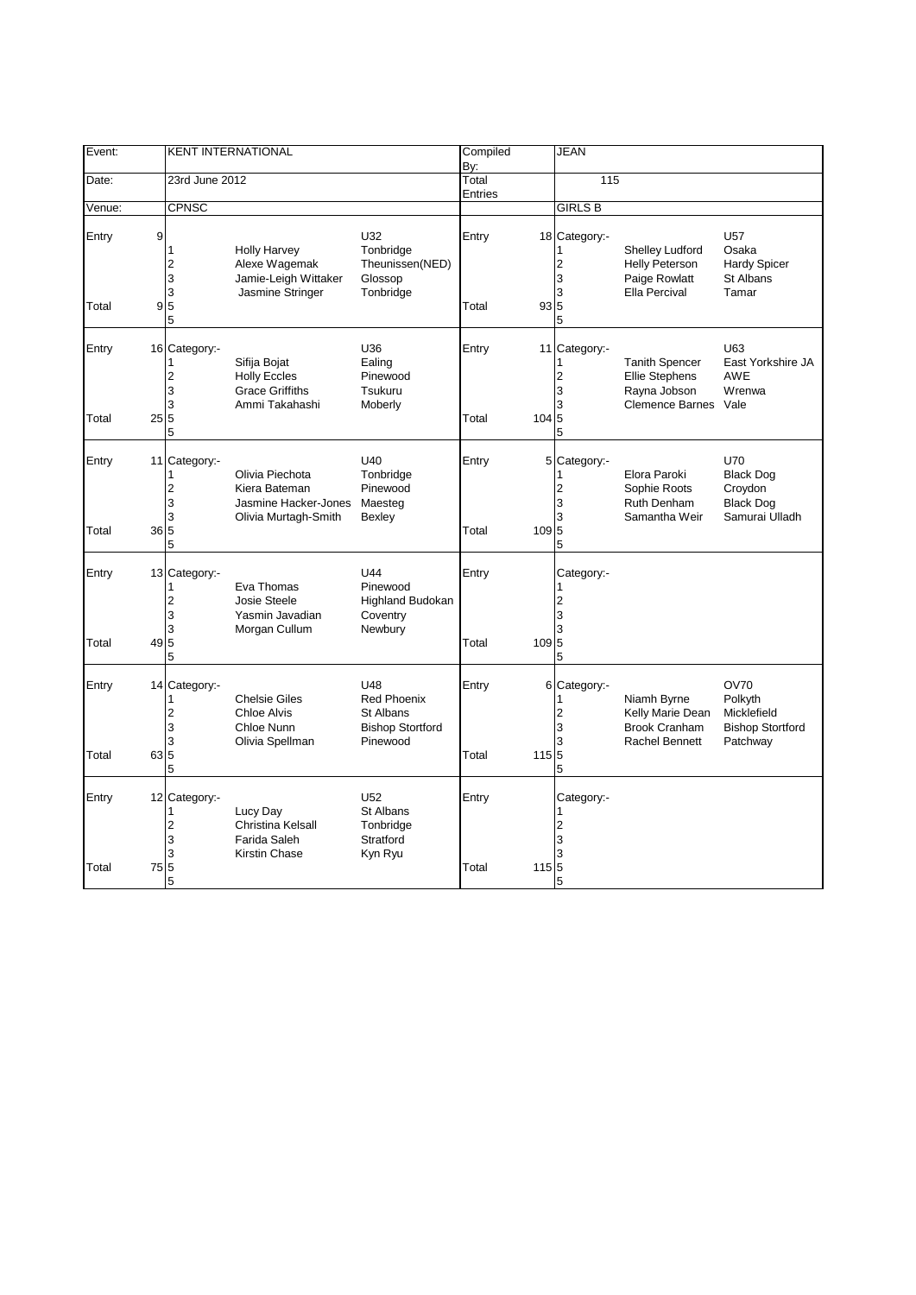| Event:               |                                                | <b>KENT INTERNATIONAL</b>                                                        |                                                                               | Compiled<br>By:  |       | <b>JEAN</b>                                         |                                                                                          |                                                                                 |
|----------------------|------------------------------------------------|----------------------------------------------------------------------------------|-------------------------------------------------------------------------------|------------------|-------|-----------------------------------------------------|------------------------------------------------------------------------------------------|---------------------------------------------------------------------------------|
| Date:                | 23rd June 2012                                 |                                                                                  |                                                                               | Total<br>Entries |       | 115                                                 |                                                                                          |                                                                                 |
| Venue:               | <b>CPNSC</b>                                   |                                                                                  |                                                                               |                  |       | <b>GIRLS B</b>                                      |                                                                                          |                                                                                 |
| 9<br>Entry<br>Total  | 1<br>2<br>3<br>3<br>9 <sub>5</sub><br>5        | <b>Holly Harvey</b><br>Alexe Wagemak<br>Jamie-Leigh Wittaker<br>Jasmine Stringer | U32<br>Tonbridge<br>Theunissen(NED)<br>Glossop<br>Tonbridge                   | Entry<br>Total   | 935   | 18 Category:-<br>2<br>3<br>3<br>5                   | Shelley Ludford<br><b>Helly Peterson</b><br>Paige Rowlatt<br>Ella Percival               | <b>U57</b><br>Osaka<br><b>Hardy Spicer</b><br>St Albans<br>Tamar                |
| Entry<br>Total       | 16 Category:-<br>2<br>3<br>3<br>25 5<br>5      | Sifija Bojat<br><b>Holly Eccles</b><br><b>Grace Griffiths</b><br>Ammi Takahashi  | U36<br>Ealing<br>Pinewood<br>Tsukuru<br>Moberly                               | Entry<br>Total   | 104 5 | 11 Category:-<br>1<br>$\overline{2}$<br>3<br>3<br>5 | <b>Tanith Spencer</b><br><b>Ellie Stephens</b><br>Rayna Jobson<br><b>Clemence Barnes</b> | U63<br>East Yorkshire JA<br><b>AWE</b><br>Wrenwa<br>Vale                        |
| Entry<br>Total       | 11 Category:-<br>1<br>2<br>3<br>3<br>36 5<br>5 | Olivia Piechota<br>Kiera Bateman<br>Jasmine Hacker-Jones<br>Olivia Murtagh-Smith | U40<br>Tonbridge<br>Pinewood<br>Maesteg<br>Bexley                             | Entry<br>Total   | 109 5 | 5 Category:-<br>1<br>$\overline{2}$<br>3<br>3<br>5  | Elora Paroki<br>Sophie Roots<br><b>Ruth Denham</b><br>Samantha Weir                      | <b>U70</b><br><b>Black Dog</b><br>Croydon<br><b>Black Dog</b><br>Samurai Ulladh |
| Entry<br>49<br>Total | 13 Category:-<br>2<br>3<br>3<br>5<br>5         | Eva Thomas<br><b>Josie Steele</b><br>Yasmin Javadian<br>Morgan Cullum            | U44<br>Pinewood<br><b>Highland Budokan</b><br>Coventry<br>Newbury             | Entry<br>Total   | 109 5 | Category:-<br>1<br>$\overline{2}$<br>3<br>3<br>5    |                                                                                          |                                                                                 |
| Entry<br>Total       | 14 Category:-<br>1<br>2<br>3<br>3<br>63 5<br>5 | <b>Chelsie Giles</b><br><b>Chloe Alvis</b><br>Chloe Nunn<br>Olivia Spellman      | U48<br><b>Red Phoenix</b><br>St Albans<br><b>Bishop Stortford</b><br>Pinewood | Entry<br>Total   | 115 5 | 6 Category:-<br>1<br>$\overline{2}$<br>3<br>3<br>5  | Niamh Byrne<br>Kelly Marie Dean<br><b>Brook Cranham</b><br><b>Rachel Bennett</b>         | <b>OV70</b><br>Polkyth<br>Micklefield<br><b>Bishop Stortford</b><br>Patchway    |
| Entry<br>Total       | 12 Category:-<br>1<br>2<br>3<br>3<br>75 5<br>5 | Lucy Day<br>Christina Kelsall<br>Farida Saleh<br>Kirstin Chase                   | U52<br><b>St Albans</b><br>Tonbridge<br>Stratford<br>Kyn Ryu                  | Entry<br>Total   | 115 5 | Category:-<br>1<br>$\overline{2}$<br>3<br>3<br>5    |                                                                                          |                                                                                 |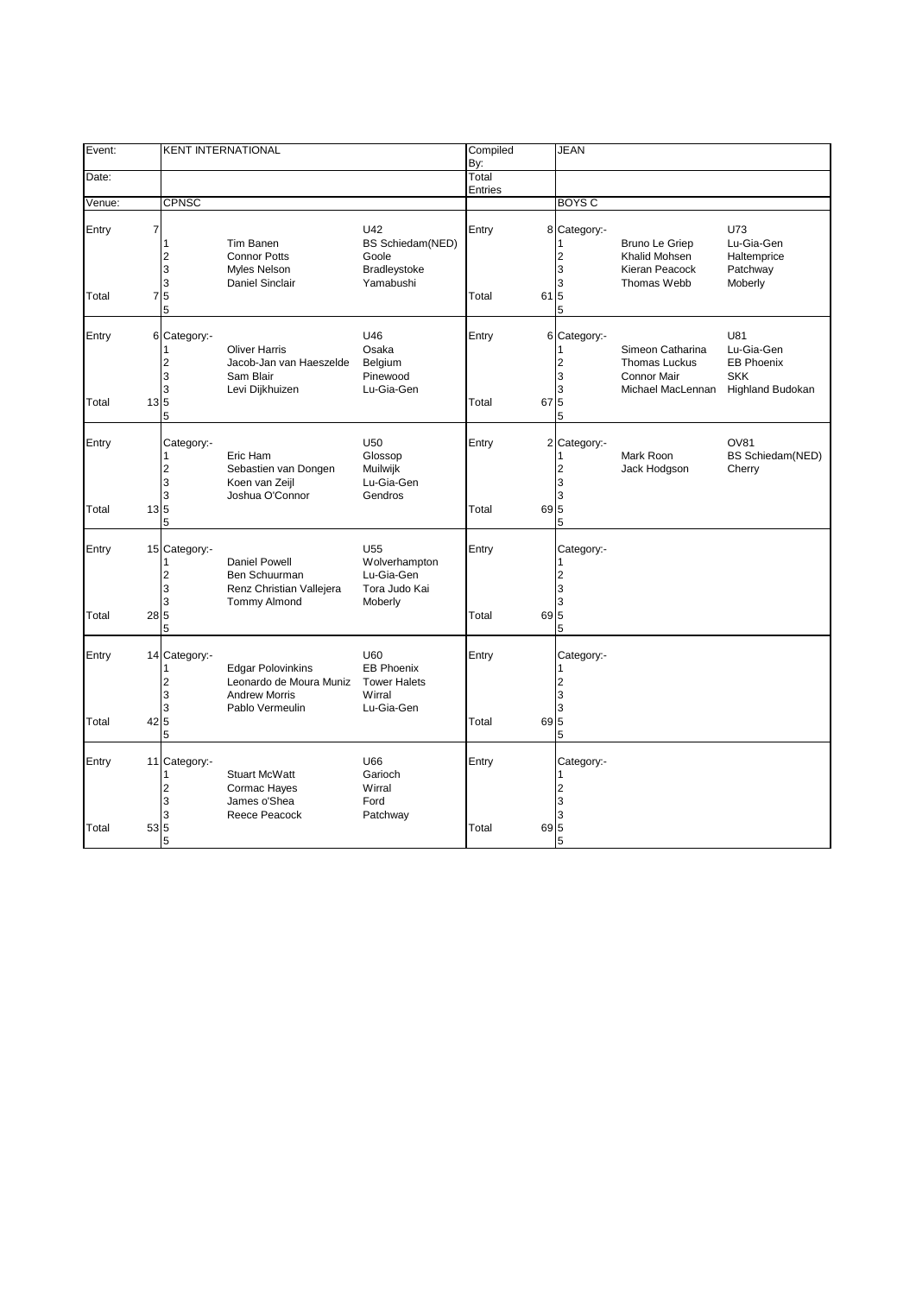| Event:         |                  |                                          | <b>KENT INTERNATIONAL</b>                                                                      |                                                                            | Compiled       |      | <b>JEAN</b>                                        |                                                                                     |                                                                                 |
|----------------|------------------|------------------------------------------|------------------------------------------------------------------------------------------------|----------------------------------------------------------------------------|----------------|------|----------------------------------------------------|-------------------------------------------------------------------------------------|---------------------------------------------------------------------------------|
| Date:          |                  |                                          |                                                                                                |                                                                            | By:<br>Total   |      |                                                    |                                                                                     |                                                                                 |
|                |                  |                                          |                                                                                                |                                                                            | Entries        |      |                                                    |                                                                                     |                                                                                 |
| Venue:         |                  | <b>CPNSC</b>                             |                                                                                                |                                                                            |                |      | <b>BOYS C</b>                                      |                                                                                     |                                                                                 |
| Entry<br>Total | 7                | 1<br>$\overline{2}$<br>3<br>3<br>75<br>5 | Tim Banen<br><b>Connor Potts</b><br>Myles Nelson<br>Daniel Sinclair                            | U42<br><b>BS Schiedam(NED)</b><br>Goole<br>Bradleystoke<br>Yamabushi       | Entry<br>Total | 61 5 | 8 Category:-<br>$\overline{2}$<br>3<br>3<br>5      | Bruno Le Griep<br>Khalid Mohsen<br>Kieran Peacock<br>Thomas Webb                    | U73<br>Lu-Gia-Gen<br>Haltemprice<br>Patchway<br>Moberly                         |
| Entry<br>Total | $13\overline{5}$ | 6 Category:-<br>2<br>3<br>3<br>5         | <b>Oliver Harris</b><br>Jacob-Jan van Haeszelde<br>Sam Blair<br>Levi Dijkhuizen                | U46<br>Osaka<br>Belgium<br>Pinewood<br>Lu-Gia-Gen                          | Entry<br>Total | 67   | 6 Category:-<br>$\overline{2}$<br>3<br>3<br>5<br>5 | Simeon Catharina<br><b>Thomas Luckus</b><br><b>Connor Mair</b><br>Michael MacLennan | U81<br>Lu-Gia-Gen<br><b>EB Phoenix</b><br><b>SKK</b><br><b>Highland Budokan</b> |
| Entry<br>Total | $13\overline{5}$ | Category:-<br>1<br>2<br>3<br>3<br>5      | Eric Ham<br>Sebastien van Dongen<br>Koen van Zeijl<br>Joshua O'Connor                          | U50<br>Glossop<br>Muilwijk<br>Lu-Gia-Gen<br>Gendros                        | Entry<br>Total | 69 5 | 2 Category:-<br>$\overline{2}$<br>3<br>3<br>5      | Mark Roon<br>Jack Hodgson                                                           | OV81<br>BS Schiedam(NED)<br>Cherry                                              |
| Entry<br>Total | 28 5             | 15 Category:-<br>2<br>3<br>3<br>5        | Daniel Powell<br>Ben Schuurman<br>Renz Christian Vallejera<br><b>Tommy Almond</b>              | U <sub>55</sub><br>Wolverhampton<br>Lu-Gia-Gen<br>Tora Judo Kai<br>Moberly | Entry<br>Total | 69 5 | Category:-<br>$\overline{2}$<br>3<br>3<br>5        |                                                                                     |                                                                                 |
| Entry<br>Total | 42 5             | 14 Category:-<br>2<br>3<br>3<br>5        | <b>Edgar Polovinkins</b><br>Leonardo de Moura Muniz<br><b>Andrew Morris</b><br>Pablo Vermeulin | U60<br><b>EB Phoenix</b><br><b>Tower Halets</b><br>Wirral<br>Lu-Gia-Gen    | Entry<br>Total | 69 5 | Category:-<br>$\overline{2}$<br>3<br>3<br>5        |                                                                                     |                                                                                 |
| Entry<br>Total | 53 5             | 11 Category:-<br>1<br>2<br>3<br>3<br>5   | <b>Stuart McWatt</b><br>Cormac Hayes<br>James o'Shea<br>Reece Peacock                          | U66<br>Garioch<br>Wirral<br>Ford<br>Patchway                               | Entry<br>Total | 69 5 | Category:-<br>1<br>$\overline{2}$<br>3<br>3<br>5   |                                                                                     |                                                                                 |